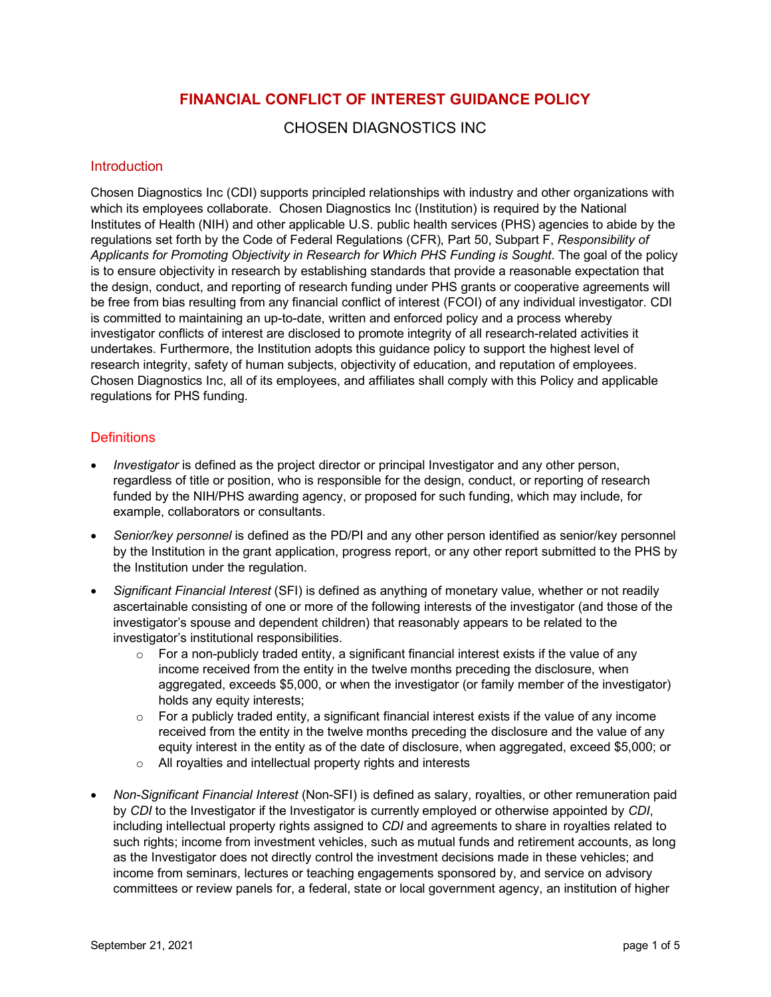# **FINANCIAL CONFLICT OF INTEREST GUIDANCE POLICY**

CHOSEN DIAGNOSTICS INC

### **Introduction**

Chosen Diagnostics Inc (CDI) supports principled relationships with industry and other organizations with which its employees collaborate. Chosen Diagnostics Inc (Institution) is required by the National Institutes of Health (NIH) and other applicable U.S. public health services (PHS) agencies to abide by the regulations set forth by the Code of Federal Regulations (CFR), Part 50, Subpart F, *Responsibility of Applicants for Promoting Objectivity in Research for Which PHS Funding is Sought*. The goal of the policy is to ensure objectivity in research by establishing standards that provide a reasonable expectation that the design, conduct, and reporting of research funding under PHS grants or cooperative agreements will be free from bias resulting from any financial conflict of interest (FCOI) of any individual investigator. CDI is committed to maintaining an up-to-date, written and enforced policy and a process whereby investigator conflicts of interest are disclosed to promote integrity of all research-related activities it undertakes. Furthermore, the Institution adopts this guidance policy to support the highest level of research integrity, safety of human subjects, objectivity of education, and reputation of employees. Chosen Diagnostics Inc, all of its employees, and affiliates shall comply with this Policy and applicable regulations for PHS funding.

### **Definitions**

- *Investigator* is defined as the project director or principal Investigator and any other person, regardless of title or position, who is responsible for the design, conduct, or reporting of research funded by the NIH/PHS awarding agency, or proposed for such funding, which may include, for example, collaborators or consultants.
- *Senior/key personnel* is defined as the PD/PI and any other person identified as senior/key personnel by the Institution in the grant application, progress report, or any other report submitted to the PHS by the Institution under the regulation.
- *Significant Financial Interest* (SFI) is defined as anything of monetary value, whether or not readily ascertainable consisting of one or more of the following interests of the investigator (and those of the investigator's spouse and dependent children) that reasonably appears to be related to the investigator's institutional responsibilities.
	- $\circ$  For a non-publicly traded entity, a significant financial interest exists if the value of any income received from the entity in the twelve months preceding the disclosure, when aggregated, exceeds \$5,000, or when the investigator (or family member of the investigator) holds any equity interests;
	- $\circ$  For a publicly traded entity, a significant financial interest exists if the value of any income received from the entity in the twelve months preceding the disclosure and the value of any equity interest in the entity as of the date of disclosure, when aggregated, exceed \$5,000; or
	- o All royalties and intellectual property rights and interests
- *Non-Significant Financial Interest* (Non-SFI) is defined as salary, royalties, or other remuneration paid by *CDI* to the Investigator if the Investigator is currently employed or otherwise appointed by *CDI*, including intellectual property rights assigned to *CDI* and agreements to share in royalties related to such rights; income from investment vehicles, such as mutual funds and retirement accounts, as long as the Investigator does not directly control the investment decisions made in these vehicles; and income from seminars, lectures or teaching engagements sponsored by, and service on advisory committees or review panels for, a federal, state or local government agency, an institution of higher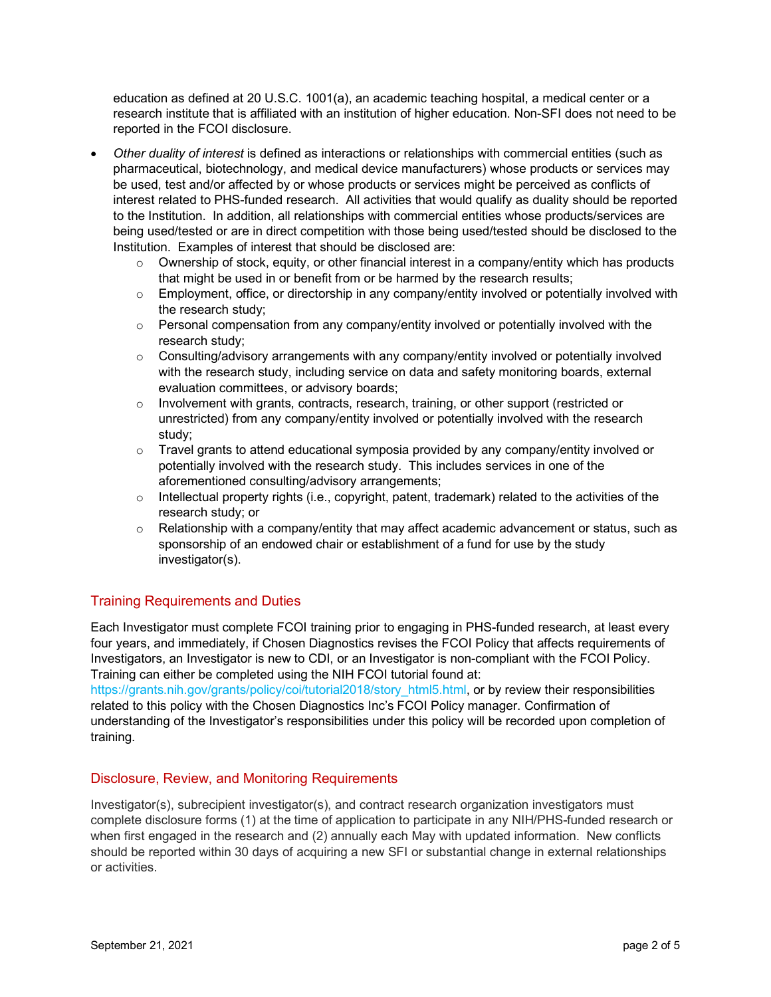education as defined at 20 U.S.C. 1001(a), an academic teaching hospital, a medical center or a research institute that is affiliated with an institution of higher education. Non-SFI does not need to be reported in the FCOI disclosure.

- *Other duality of interest* is defined as interactions or relationships with commercial entities (such as pharmaceutical, biotechnology, and medical device manufacturers) whose products or services may be used, test and/or affected by or whose products or services might be perceived as conflicts of interest related to PHS-funded research. All activities that would qualify as duality should be reported to the Institution. In addition, all relationships with commercial entities whose products/services are being used/tested or are in direct competition with those being used/tested should be disclosed to the Institution. Examples of interest that should be disclosed are:
	- $\circ$  Ownership of stock, equity, or other financial interest in a company/entity which has products that might be used in or benefit from or be harmed by the research results;
	- $\circ$  Employment, office, or directorship in any company/entity involved or potentially involved with the research study;
	- $\circ$  Personal compensation from any company/entity involved or potentially involved with the research study;
	- $\circ$  Consulting/advisory arrangements with any company/entity involved or potentially involved with the research study, including service on data and safety monitoring boards, external evaluation committees, or advisory boards;
	- $\circ$  Involvement with grants, contracts, research, training, or other support (restricted or unrestricted) from any company/entity involved or potentially involved with the research study;
	- o Travel grants to attend educational symposia provided by any company/entity involved or potentially involved with the research study. This includes services in one of the aforementioned consulting/advisory arrangements;
	- $\circ$  Intellectual property rights (i.e., copyright, patent, trademark) related to the activities of the research study; or
	- $\circ$  Relationship with a company/entity that may affect academic advancement or status, such as sponsorship of an endowed chair or establishment of a fund for use by the study investigator(s).

# Training Requirements and Duties

Each Investigator must complete FCOI training prior to engaging in PHS-funded research, at least every four years, and immediately, if Chosen Diagnostics revises the FCOI Policy that affects requirements of Investigators, an Investigator is new to CDI, or an Investigator is non-compliant with the FCOI Policy. Training can either be completed using the NIH FCOI tutorial found at:

https://grants.nih.gov/grants/policy/coi/tutorial2018/story\_html5.html, or by review their responsibilities related to this policy with the Chosen Diagnostics Inc's FCOI Policy manager. Confirmation of understanding of the Investigator's responsibilities under this policy will be recorded upon completion of training.

# Disclosure, Review, and Monitoring Requirements

Investigator(s), subrecipient investigator(s), and contract research organization investigators must complete disclosure forms (1) at the time of application to participate in any NIH/PHS-funded research or when first engaged in the research and (2) annually each May with updated information. New conflicts should be reported within 30 days of acquiring a new SFI or substantial change in external relationships or activities.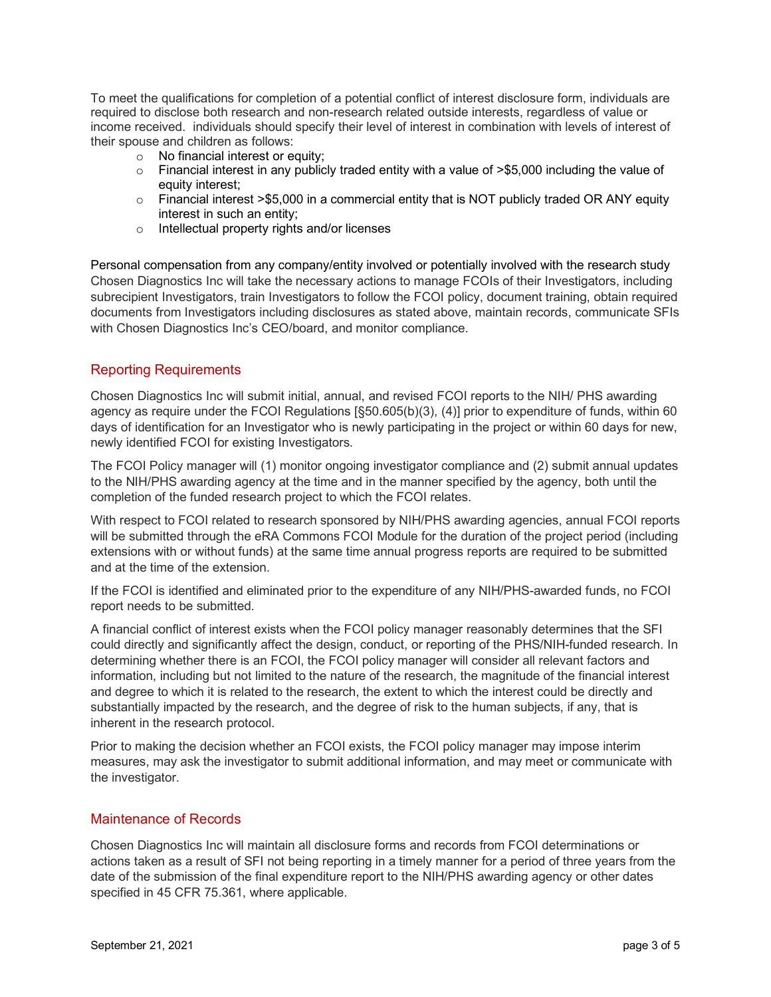To meet the qualifications for completion of a potential conflict of interest disclosure form, individuals are required to disclose both research and non-research related outside interests, regardless of value or income received. individuals should specify their level of interest in combination with levels of interest of their spouse and children as follows:

- $\circ$  No financial interest or equity:
- $\circ$  Financial interest in any publicly traded entity with a value of  $\ge$  \$5,000 including the value of equity interest;
- $\circ$  Financial interest >\$5,000 in a commercial entity that is NOT publicly traded OR ANY equity interest in such an entity;
- o Intellectual property rights and/or licenses

Personal compensation from any company/entity involved or potentially involved with the research study Chosen Diagnostics Inc will take the necessary actions to manage FCOIs of their Investigators, including subrecipient Investigators, train Investigators to follow the FCOI policy, document training, obtain required documents from Investigators including disclosures as stated above, maintain records, communicate SFIs with Chosen Diagnostics Inc's CEO/board, and monitor compliance.

## Reporting Requirements

Chosen Diagnostics Inc will submit initial, annual, and revised FCOI reports to the NIH/ PHS awarding agency as require under the FCOI Regulations [§50.605(b)(3), (4)] prior to expenditure of funds, within 60 days of identification for an Investigator who is newly participating in the project or within 60 days for new, newly identified FCOI for existing Investigators.

The FCOI Policy manager will (1) monitor ongoing investigator compliance and (2) submit annual updates to the NIH/PHS awarding agency at the time and in the manner specified by the agency, both until the completion of the funded research project to which the FCOI relates.

With respect to FCOI related to research sponsored by NIH/PHS awarding agencies, annual FCOI reports will be submitted through the eRA Commons FCOI Module for the duration of the project period (including extensions with or without funds) at the same time annual progress reports are required to be submitted and at the time of the extension.

If the FCOI is identified and eliminated prior to the expenditure of any NIH/PHS-awarded funds, no FCOI report needs to be submitted.

A financial conflict of interest exists when the FCOI policy manager reasonably determines that the SFI could directly and significantly affect the design, conduct, or reporting of the PHS/NIH-funded research. In determining whether there is an FCOI, the FCOI policy manager will consider all relevant factors and information, including but not limited to the nature of the research, the magnitude of the financial interest and degree to which it is related to the research, the extent to which the interest could be directly and substantially impacted by the research, and the degree of risk to the human subjects, if any, that is inherent in the research protocol.

Prior to making the decision whether an FCOI exists, the FCOI policy manager may impose interim measures, may ask the investigator to submit additional information, and may meet or communicate with the investigator.

## Maintenance of Records

Chosen Diagnostics Inc will maintain all disclosure forms and records from FCOI determinations or actions taken as a result of SFI not being reporting in a timely manner for a period of three years from the date of the submission of the final expenditure report to the NIH/PHS awarding agency or other dates specified in 45 CFR 75.361, where applicable.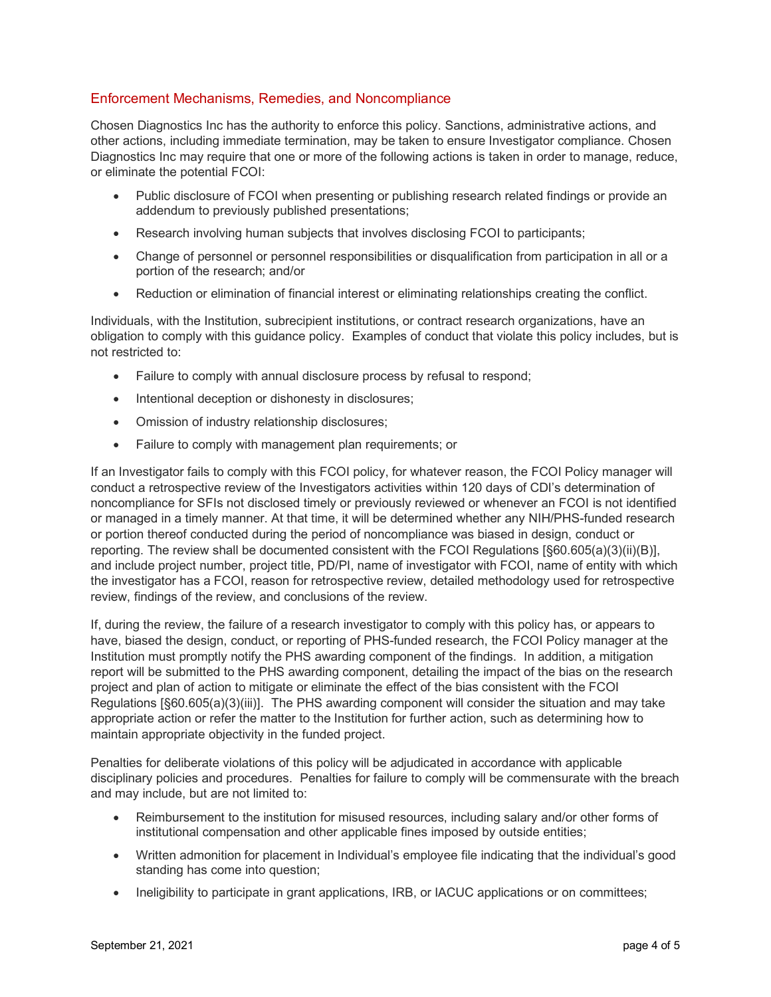# Enforcement Mechanisms, Remedies, and Noncompliance

Chosen Diagnostics Inc has the authority to enforce this policy. Sanctions, administrative actions, and other actions, including immediate termination, may be taken to ensure Investigator compliance. Chosen Diagnostics Inc may require that one or more of the following actions is taken in order to manage, reduce, or eliminate the potential FCOI:

- Public disclosure of FCOI when presenting or publishing research related findings or provide an addendum to previously published presentations;
- Research involving human subjects that involves disclosing FCOI to participants;
- Change of personnel or personnel responsibilities or disqualification from participation in all or a portion of the research; and/or
- Reduction or elimination of financial interest or eliminating relationships creating the conflict.

Individuals, with the Institution, subrecipient institutions, or contract research organizations, have an obligation to comply with this guidance policy. Examples of conduct that violate this policy includes, but is not restricted to:

- Failure to comply with annual disclosure process by refusal to respond;
- Intentional deception or dishonesty in disclosures;
- Omission of industry relationship disclosures;
- Failure to comply with management plan requirements; or

If an Investigator fails to comply with this FCOI policy, for whatever reason, the FCOI Policy manager will conduct a retrospective review of the Investigators activities within 120 days of CDI's determination of noncompliance for SFIs not disclosed timely or previously reviewed or whenever an FCOI is not identified or managed in a timely manner. At that time, it will be determined whether any NIH/PHS-funded research or portion thereof conducted during the period of noncompliance was biased in design, conduct or reporting. The review shall be documented consistent with the FCOI Regulations [§60.605(a)(3)(ii)(B)], and include project number, project title, PD/PI, name of investigator with FCOI, name of entity with which the investigator has a FCOI, reason for retrospective review, detailed methodology used for retrospective review, findings of the review, and conclusions of the review.

If, during the review, the failure of a research investigator to comply with this policy has, or appears to have, biased the design, conduct, or reporting of PHS-funded research, the FCOI Policy manager at the Institution must promptly notify the PHS awarding component of the findings. In addition, a mitigation report will be submitted to the PHS awarding component, detailing the impact of the bias on the research project and plan of action to mitigate or eliminate the effect of the bias consistent with the FCOI Regulations [§60.605(a)(3)(iii)]. The PHS awarding component will consider the situation and may take appropriate action or refer the matter to the Institution for further action, such as determining how to maintain appropriate objectivity in the funded project.

Penalties for deliberate violations of this policy will be adjudicated in accordance with applicable disciplinary policies and procedures. Penalties for failure to comply will be commensurate with the breach and may include, but are not limited to:

- Reimbursement to the institution for misused resources, including salary and/or other forms of institutional compensation and other applicable fines imposed by outside entities;
- Written admonition for placement in Individual's employee file indicating that the individual's good standing has come into question;
- Ineligibility to participate in grant applications, IRB, or IACUC applications or on committees;